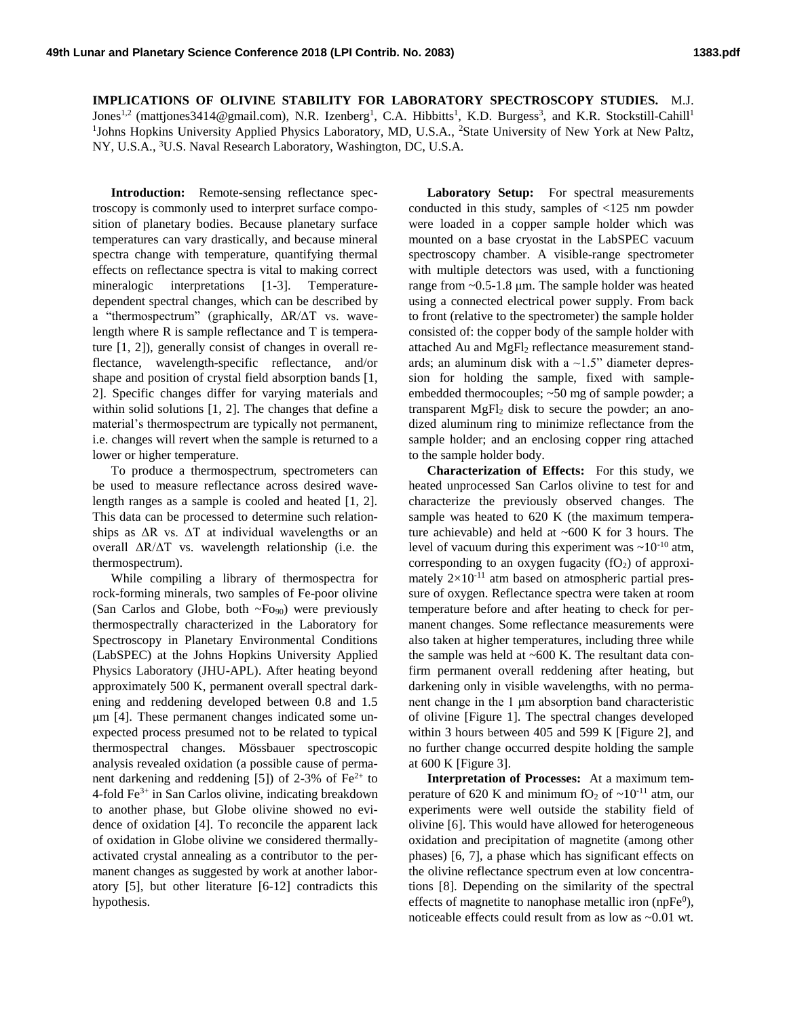**IMPLICATIONS OF OLIVINE STABILITY FOR LABORATORY SPECTROSCOPY STUDIES.** M.J. Jones<sup>1,2</sup> (mattjones3414@gmail.com), N.R. Izenberg<sup>1</sup>, C.A. Hibbitts<sup>1</sup>, K.D. Burgess<sup>3</sup>, and K.R. Stockstill-Cahill<sup>1</sup> <sup>1</sup>Johns Hopkins University Applied Physics Laboratory, MD, U.S.A., <sup>2</sup>State University of New York at New Paltz, NY, U.S.A., <sup>3</sup>U.S. Naval Research Laboratory, Washington, DC, U.S.A.

**Introduction:** Remote-sensing reflectance spectroscopy is commonly used to interpret surface composition of planetary bodies. Because planetary surface temperatures can vary drastically, and because mineral spectra change with temperature, quantifying thermal effects on reflectance spectra is vital to making correct mineralogic interpretations [1-3]. Temperaturedependent spectral changes, which can be described by a "thermospectrum" (graphically, ΔR/ΔT vs. wavelength where R is sample reflectance and T is temperature [1, 2]), generally consist of changes in overall reflectance, wavelength-specific reflectance, and/or shape and position of crystal field absorption bands [1, 2]. Specific changes differ for varying materials and within solid solutions [1, 2]. The changes that define a material's thermospectrum are typically not permanent, i.e. changes will revert when the sample is returned to a lower or higher temperature.

To produce a thermospectrum, spectrometers can be used to measure reflectance across desired wavelength ranges as a sample is cooled and heated [1, 2]. This data can be processed to determine such relationships as  $\Delta R$  vs.  $\Delta T$  at individual wavelengths or an overall ΔR/ΔT vs. wavelength relationship (i.e. the thermospectrum).

While compiling a library of thermospectra for rock-forming minerals, two samples of Fe-poor olivine (San Carlos and Globe, both  $\sim$ Fo<sub>90</sub>) were previously thermospectrally characterized in the Laboratory for Spectroscopy in Planetary Environmental Conditions (LabSPEC) at the Johns Hopkins University Applied Physics Laboratory (JHU-APL). After heating beyond approximately 500 K, permanent overall spectral darkening and reddening developed between 0.8 and 1.5 μm [4]. These permanent changes indicated some unexpected process presumed not to be related to typical thermospectral changes. Mössbauer spectroscopic analysis revealed oxidation (a possible cause of permanent darkening and reddening [5]) of 2-3% of  $Fe^{2+}$  to 4-fold  $Fe<sup>3+</sup>$  in San Carlos olivine, indicating breakdown to another phase, but Globe olivine showed no evidence of oxidation [4]. To reconcile the apparent lack of oxidation in Globe olivine we considered thermallyactivated crystal annealing as a contributor to the permanent changes as suggested by work at another laboratory [5], but other literature [6-12] contradicts this hypothesis.

**Laboratory Setup:** For spectral measurements conducted in this study, samples of <125 nm powder were loaded in a copper sample holder which was mounted on a base cryostat in the LabSPEC vacuum spectroscopy chamber. A visible-range spectrometer with multiple detectors was used, with a functioning range from ~0.5-1.8 μm. The sample holder was heated using a connected electrical power supply. From back to front (relative to the spectrometer) the sample holder consisted of: the copper body of the sample holder with attached Au and MgFl<sub>2</sub> reflectance measurement standards; an aluminum disk with a  $\sim$ 1.5" diameter depression for holding the sample, fixed with sampleembedded thermocouples; ~50 mg of sample powder; a transparent MgFl<sup>2</sup> disk to secure the powder; an anodized aluminum ring to minimize reflectance from the sample holder; and an enclosing copper ring attached to the sample holder body.

**Characterization of Effects:** For this study, we heated unprocessed San Carlos olivine to test for and characterize the previously observed changes. The sample was heated to 620 K (the maximum temperature achievable) and held at  $~600$  K for 3 hours. The level of vacuum during this experiment was  $\sim 10^{-10}$  atm, corresponding to an oxygen fugacity  $(fO_2)$  of approximately  $2\times10^{-11}$  atm based on atmospheric partial pressure of oxygen. Reflectance spectra were taken at room temperature before and after heating to check for permanent changes. Some reflectance measurements were also taken at higher temperatures, including three while the sample was held at ~600 K. The resultant data confirm permanent overall reddening after heating, but darkening only in visible wavelengths, with no permanent change in the 1 μm absorption band characteristic of olivine [Figure 1]. The spectral changes developed within 3 hours between 405 and 599 K [Figure 2], and no further change occurred despite holding the sample at 600 K [Figure 3].

**Interpretation of Processes:** At a maximum temperature of 620 K and minimum fO<sub>2</sub> of  $\sim 10^{-11}$  atm, our experiments were well outside the stability field of olivine [6]. This would have allowed for heterogeneous oxidation and precipitation of magnetite (among other phases) [6, 7], a phase which has significant effects on the olivine reflectance spectrum even at low concentrations [8]. Depending on the similarity of the spectral effects of magnetite to nanophase metallic iron (npFe $\rm^0$ ), noticeable effects could result from as low as ~0.01 wt.